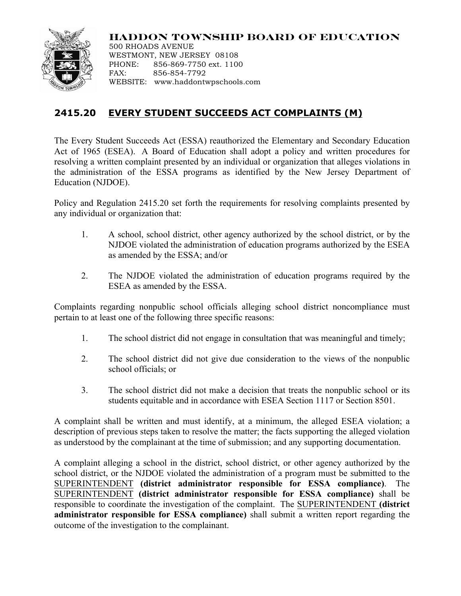## **HADDON TOWNSHIP BOARD OF EDUCATION**



500 RHOADS AVENUE WESTMONT, NEW JERSEY 08108 PHONE: 856-869-7750 ext. 1100 FAX: 856-854-7792 WEBSITE: www.haddontwpschools.com

## **2415.20 EVERY STUDENT SUCCEEDS ACT COMPLAINTS (M)**

The Every Student Succeeds Act (ESSA) reauthorized the Elementary and Secondary Education Act of 1965 (ESEA). A Board of Education shall adopt a policy and written procedures for resolving a written complaint presented by an individual or organization that alleges violations in the administration of the ESSA programs as identified by the New Jersey Department of Education (NJDOE).

Policy and Regulation 2415.20 set forth the requirements for resolving complaints presented by any individual or organization that:

- 1. A school, school district, other agency authorized by the school district, or by the NJDOE violated the administration of education programs authorized by the ESEA as amended by the ESSA; and/or
- 2. The NJDOE violated the administration of education programs required by the ESEA as amended by the ESSA.

Complaints regarding nonpublic school officials alleging school district noncompliance must pertain to at least one of the following three specific reasons:

- 1. The school district did not engage in consultation that was meaningful and timely;
- 2. The school district did not give due consideration to the views of the nonpublic school officials; or
- 3. The school district did not make a decision that treats the nonpublic school or its students equitable and in accordance with ESEA Section 1117 or Section 8501.

A complaint shall be written and must identify, at a minimum, the alleged ESEA violation; a description of previous steps taken to resolve the matter; the facts supporting the alleged violation as understood by the complainant at the time of submission; and any supporting documentation.

A complaint alleging a school in the district, school district, or other agency authorized by the school district, or the NJDOE violated the administration of a program must be submitted to the SUPERINTENDENT **(district administrator responsible for ESSA compliance)**. The SUPERINTENDENT **(district administrator responsible for ESSA compliance)** shall be responsible to coordinate the investigation of the complaint. The SUPERINTENDENT **(district administrator responsible for ESSA compliance)** shall submit a written report regarding the outcome of the investigation to the complainant.